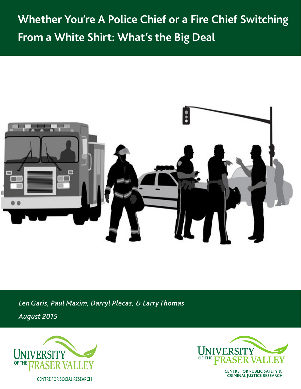# **Whether You're A Police Chief or a Fire Chief Switching From a White Shirt: What's the Big Deal**



*Len Garis, Paul Maxim, Darryl Plecas, & Larry Thomas*

*August 2015*





**CENTRE FOR PUBLIC SAFETY &<br>CRIMINAL JUSTICE RESEARCH**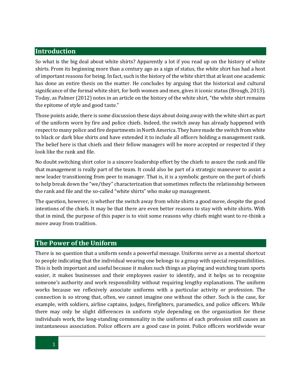## **Introduction**

So what is the big deal about white shirts? Apparently a lot if you read up on the history of white shirts. From its beginning more than a century ago as a sign of status, the white shirt has had a host of important reasons for being. In fact, such is the history of the white shirt that at least one academic has done an entire thesis on the matter. He concludes by arguing that the historical and cultural significance of the formal white shirt, for both women and men, gives it iconic status (Brough, 2013). Today, as Palmer (2012) notes in an article on the history of the white shirt, "the white shirt remains the epitome of style and good taste."

Those points aside, there is some discussion these days about doing away with the white shirt as part of the uniform worn by fire and police chiefs. Indeed, the switch away has already happened with respect to many police and fire departments in North America. They have made the switch from white to black or dark blue shirts and have extended it to include all officers holding a management rank. The belief here is that chiefs and their fellow managers will be more accepted or respected if they look like the rank and file.

No doubt switching shirt color is a sincere leadership effort by the chiefs to assure the rank and file that management is really part of the team. It could also be part of a strategic maneuver to assist a new leader transitioning from peer to manager. That is, it is a symbolic gesture on the part of chiefs to help break down the "we/they" characterization that sometimes reflects the relationship between the rank and file and the so-called "white shirts" who make up management.

The question, however, is whether the switch away from white shirts a good move, despite the good intentions of the chiefs. It may be that there are even better reasons to stay with white shirts. With that in mind, the purpose of this paper is to visit some reasons why chiefs might want to re-think a move away from tradition.

#### **The Power of the Uniform**

There is no question that a uniform sends a powerful message. Uniforms serve as a mental shortcut to people indicating that the individual wearing one belongs to a group with special responsibilities. This is both important and useful because it makes such things as playing and watching team sports easier, it makes businesses and their employees easier to identify, and it helps us to recognize someone's authority and work responsibility without requiring lengthy explanations. The uniform works because we reflexively associate uniforms with a particular activity or profession. The connection is so strong that, often, we cannot imagine one without the other. Such is the case, for example, with soldiers, airline captains, judges, firefighters, paramedics, and police officers. While there may only be slight differences in uniform style depending on the organization for these individuals work, the long-standing commonality in the uniforms of each profession still causes an instantaneous association. Police officers are a good case in point. Police officers worldwide wear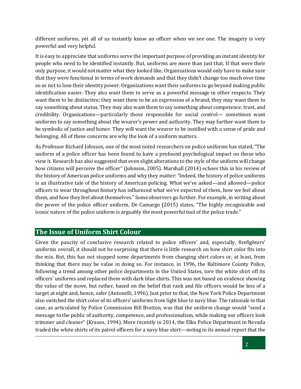different uniforms, yet all of us instantly know an officer when we see one. The imagery is very powerful and very helpful.

It is easy to appreciate that uniforms serve the important purpose of providing an instant identity for people who need to be identified instantly. But, uniforms are more than just that. If that were their only purpose, it would not matter what they looked like. Organizations would only have to make sure that they were functional in terms of work demands and that they didn't change too much over time so as not to lose their identity power. Organizations want their uniforms to go beyond making public identification easier. They also want them to serve as a powerful message in other respects. They want them to be distinctive; they want them to be an expression of a brand; they may want them to say something about status. They may also want them to say something about competence, trust, and credibility. Organizations—particularly those responsible for social control— sometimes want uniforms to say something about the wearer's power and authority. They may further want them to be symbolic of justice and honor. They will want the wearer to be instilled with a sense of pride and belonging. All of these concerns are why the look of a uniform matters.

As Professor Richard Johnson, one of the most noted researchers on police uniforms has stated, "The uniform of a police officer has been found to have a profound psychological impact on those who view it. Research has also suggested that even slight alterations to the style of the uniform will change how citizens will perceive the officer" (Johnson, 2005). Marshall (2014) echoes this in his review of the history of American police uniforms and why they matter: "Indeed, the history of police uniforms is an illustrative tale of the history of American policing. What we've asked—and allowed—police officers to wear throughout history has influenced what we've expected of them, how we feel about them, and how they feel about themselves." Some observers go further. For example, in writing about the power of the police officer uniform, De Camargo (2015) states, "The highly recognizable and iconic nature of the police uniform is arguably the most powerful tool of the police trade."

## **The Issue of Uniform Shirt Colour**

Given the paucity of conclusive research related to police officers' and, especially, firefighters' uniforms overall, it should not be surprising that there is little research on how shirt color fits into the mix. But, this has not stopped some departments from changing shirt colors or, at least, from thinking that there may be value in doing so. For instance, in 1996, the Baltimore County Police, following a trend among other police departments in the United States, tore the white shirt off its officers' uniforms and replaced them with dark blue shirts. This was not based on evidence showing the value of the move, but rather, based on the belief that rank and file officers would be less of a target at night and, hence, safer (Antonelli, 1996). Just prior to that, the New York Police Department also switched the shirt color of its officers' uniforms from light blue to navy blue. The rationale in that case, as articulated by Police Commission Bill Bratton, was that the uniform change would "send a message to the public of authority, competence, and professionalism, while making our officers look trimmer and cleaner" (Krauss, 1994). More recently in 2014, the Elko Police Department in Nevada traded the white shirts of its patrol officers for a navy blue shirt—noting in its annual report that the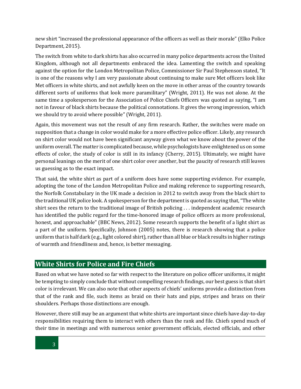new shirt "increased the professional appearance of the officers as well as their morale" (Elko Police Department, 2015).

The switch from white to dark shirts has also occurred in many police departments across the United Kingdom, although not all departments embraced the idea. Lamenting the switch and speaking against the option for the London Metropolitan Police, Commissioner Sir Paul Stephenson stated, "It is one of the reasons why I am very passionate about continuing to make sure Met officers look like Met officers in white shirts, and not awfully keen on the move in other areas of the country towards different sorts of uniforms that look more paramilitary" (Wright, 2011). He was not alone. At the same time a spokesperson for the Association of Police Chiefs Officers was quoted as saying, "I am not in favour of black shirts because the political connotations. It gives the wrong impression, which we should try to avoid where possible" (Wright, 2011).

Again, this movement was not the result of any firm research. Rather, the switches were made on supposition that a change in color would make for a more effective police officer. Likely, any research on shirt color would not have been significant anyway given what we know about the power of the uniform overall. The matter is complicated because, while psychologists have enlightened us on some effects of color, the study of color is still in its infancy (Cherry, 2015). Ultimately, we might have personal leanings on the merit of one shirt color over another, but the paucity of research still leaves us guessing as to the exact impact.

That said, the white shirt as part of a uniform does have some supporting evidence. For example, adopting the tone of the London Metropolitan Police and making reference to supporting research, the Norfolk Constabulary in the UK made a decision in 2012 to switch away from the black shirt to the traditional UK police look. A spokesperson for the department is quoted as saying that, "The white shirt sees the return to the traditional image of British policing . . . independent academic research has identified the public regard for the time-honored image of police officers as more professional, honest, and approachable" (BBC News, 2012). Some research supports the benefit of a light shirt as a part of the uniform. Specifically, Johnson (2005) notes, there is research showing that a police uniform that is half dark (e.g., light colored shirt), rather than all blue or black results in higher ratings of warmth and friendliness and, hence, is better messaging.

## **White Shirts for Police and Fire Chiefs**

Based on what we have noted so far with respect to the literature on police officer uniforms, it might be tempting to simply conclude that without compelling research findings, our best guess is that shirt color is irrelevant. We can also note that other aspects of chiefs' uniforms provide a distinction from that of the rank and file, such items as braid on their hats and pips, stripes and brass on their shoulders. Perhaps those distinctions are enough.

However, there still may be an argument that white shirts are important since chiefs have day-to-day responsibilities requiring them to interact with others than the rank and file. Chiefs spend much of their time in meetings and with numerous senior government officials, elected officials, and other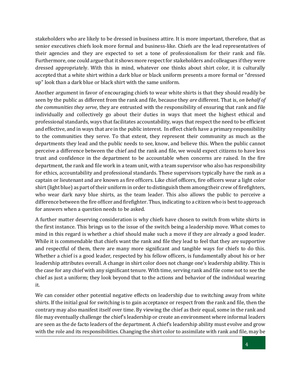stakeholders who are likely to be dressed in business attire. It is more important, therefore, that as senior executives chiefs look more formal and business-like. Chiefs are the lead representatives of their agencies and they are expected to set a tone of professionalism for their rank and file. Furthermore, one could argue that it shows more respect for stakeholders and colleagues if they were dressed appropriately. With this in mind, whatever one thinks about shirt color, it is culturally accepted that a white shirt within a dark blue or black uniform presents a more formal or "dressed up" look than a dark blue or black shirt with the same uniform.

Another argument in favor of encouraging chiefs to wear white shirts is that they should readily be seen by the public as different from the rank and file, because they *are* different. That is, *on behalf of the communities they serve*, they are entrusted with the responsibility of ensuring that rank and file individually and collectively go about their duties in ways that meet the highest ethical and professional standards, ways that facilitates accountability, ways that respect the need to be efficient and effective, and in ways that are in the public interest. In effect chiefs have a primary responsibility to the communities they serve. To that extent, they represent their community as much as the departments they lead and the public needs to see, know, and believe this. When the public cannot perceive a difference between the chief and the rank and file, we would expect citizens to have less trust and confidence in the department to be accountable when concerns are raised. In the fire department, the rank and file work in a team unit, with a team supervisor who also has responsibility for ethics, accountability and professional standards. These supervisors typically have the rank as a captain or lieutenant and are known as fire officers. Like chief officers, fire officers wear a light color shirt (light blue) as part of their uniform in order to distinguish them among their crew of firefighters, who wear dark navy blue shirts, as the team leader. This also allows the public to perceive a difference between the fire officer and firefighter. Thus, indicating to a citizen who is best to approach for answers when a question needs to be asked.

A further matter deserving consideration is why chiefs have chosen to switch from white shirts in the first instance. This brings us to the issue of the switch being a leadership move. What comes to mind in this regard is whether a chief should make such a move if they are already a good leader. While it is commendable that chiefs want the rank and file they lead to feel that they are supportive and respectful of them, there are many more significant and tangible ways for chiefs to do this. Whether a chief is a good leader, respected by his fellow officers, is fundamentally about his or her leadership attributes overall. A change in shirt color does not change one's leadership ability. This is the case for any chief with any significant tenure. With time, serving rank and file come not to see the chief as just a uniform; they look beyond that to the actions and behavior of the individual wearing it.

We can consider other potential negative effects on leadership due to switching away from white shirts. If the initial goal for switching is to gain acceptance or respect from the rank and file, then the contrary may also manifest itself over time. By viewing the chief as their equal, some in the rank and file may eventually challenge the chief's leadership or create an environment where informal leaders are seen as the de facto leaders of the department. A chief's leadership ability must evolve and grow with the role and its responsibilities. Changing the shirt color to assimilate with rank and file, may be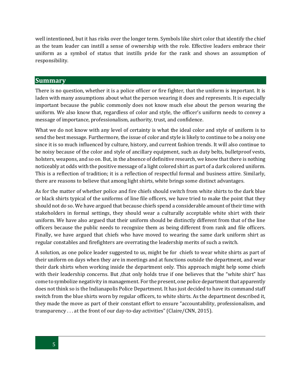well intentioned, but it has risks over the longer term. Symbols like shirt color that identify the chief as the team leader can instill a sense of ownership with the role. Effective leaders embrace their uniform as a symbol of status that instills pride for the rank and shows an assumption of responsibility.

#### **Summary**

There is no question, whether it is a police officer or fire fighter, that the uniform is important. It is laden with many assumptions about what the person wearing it does and represents. It is especially important because the public commonly does not know much else about the person wearing the uniform. We also know that, regardless of color and style, the officer's uniform needs to convey a message of importance, professionalism, authority, trust, and confidence.

What we do not know with any level of certainty is what the ideal color and style of uniform is to send the best message. Furthermore, the issue of color and style is likely to continue to be a noisy one since it is so much influenced by culture, history, and current fashion trends. It will also continue to be noisy because of the color and style of ancillary equipment, such as duty belts, bulletproof vests, holsters, weapons, and so on. But, in the absence of definitive research, we know that there is nothing noticeably at odds with the positive message of a light colored shirt as part of a dark colored uniform. This is a reflection of tradition; it is a reflection of respectful formal and business attire. Similarly, there are reasons to believe that among light shirts, white brings some distinct advantages.

As for the matter of whether police and fire chiefs should switch from white shirts to the dark blue or black shirts typical of the uniforms of line file officers, we have tried to make the point that they should not do so. We have argued that because chiefs spend a considerable amount of their time with stakeholders in formal settings, they should wear a culturally acceptable white shirt with their uniform. We have also argued that their uniform should be distinctly different from that of the line officers because the public needs to recognize them as being different from rank and file officers. Finally, we have argued that chiefs who have moved to wearing the same dark uniform shirt as regular constables and firefighters are overrating the leadership merits of such a switch.

A solution, as one police leader suggested to us, might be for chiefs to wear white shirts as part of their uniform on days when they are in meetings and at functions outside the department, and wear their dark shirts when working inside the department only. This approach might help some chiefs with their leadership concerns. But , that only holds true if one believes that the "white shirt" has come to symbolize negativity in management. For the present, one police department that apparently does not think so is the Indianapolis Police Department. It has just decided to have its command staff switch from the blue shirts worn by regular officers, to white shirts. As the department described it, they made the move as part of their constant effort to ensure "accountability, professionalism, and transparency . . . at the front of our day-to-day activities" (Claire/CNN, 2015).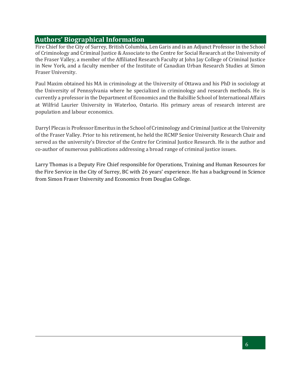# **Authors' Biographical Information**

Fire Chief for the City of Surrey, British Columbia, Len Garis and is an Adjunct Professor in the School of Criminology and Criminal Justice & Associate to the Centre for Social Research at the University of the Fraser Valley, a member of the Affiliated Research Faculty at John Jay College of Criminal Justice in New York, and a faculty member of the Institute of Canadian Urban Research Studies at Simon Fraser University.

Paul Maxim obtained his MA in criminology at the University of Ottawa and his PhD in sociology at the University of Pennsylvania where he specialized in criminology and research methods. He is currently a professor in the Department of Economics and the Balsillie School of International Affairs at Wilfrid Laurier University in Waterloo, Ontario. His primary areas of research interest are population and labour economics.

Darryl Plecas is Professor Emeritus in the School of Criminology and Criminal Justice at the University of the Fraser Valley. Prior to his retirement, he held the RCMP Senior University Research Chair and served as the university's Director of the Centre for Criminal Justice Research. He is the author and co-author of numerous publications addressing a broad range of criminal justice issues.

Larry Thomas is a Deputy Fire Chief responsible for Operations, Training and Human Resources for the Fire Service in the City of Surrey, BC with 26 years' experience. He has a background in Science from Simon Fraser University and Economics from Douglas College.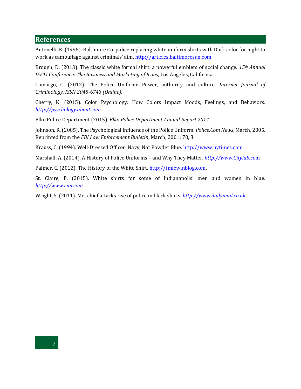#### **References**

Antonelli, K. (1996). Baltimore Co. police replacing white uniform shirts with Dark color for night to work as camouflage against criminals' aim. [http://articles.baltimoresun.com](http://articles.baltimoresun.com/)

Brough, D. (2013). The classic white formal shirt: a powerful emblem of social change. *15th Annual IFFTI Conference: The Business and Marketing of Icons*, Los Angeles, California.

Camargo, C. (2012). The Police Uniform: Power, authority and culture. *Internet Journal of Criminology, ISSN 2045-6743 (Online)*.

Cherry, K. (2015). Color Psychology: How Colors Impact Moods, Feelings, and Behaviors. *[http://psychology.about.com](http://psychology.about.com/)*

Elko Police Department (2015). *Elko Police Department Annual Report 2014*.

Johnson, R. (2005). The Psychological Influence of the Police Uniform. *Police.Com News*, March, 2005. Reprinted from the *FBI Law Enforcement Bulletin*, March, 2001; 70, 3.

Krauss, C. (1994). Well-Dressed Officer: Navy, Not Powder Blue. [http://www.nytimes.com](http://www.nytimes.com/)

Marshall, A. (2014). A History of Police Uniforms – and Why They Matter*[. http://www.Citylab.co](http://www.citylab.com/)*m

Palmer, C. (2012). The History of the White Shirt. [http://tmlewinblog.com.](http://tmlewinblog.com/)

St. Claire, P. (2015). White shirts for some of Indianapolis' men and women in blue. *[http://www.cnn.com](http://www.cnn.com/)*

Wright, S. (2011). Met chief attacks rise of police in black shirts. *[http://www.dailymail.co.uk](http://www.dailymail.co.uk/)*